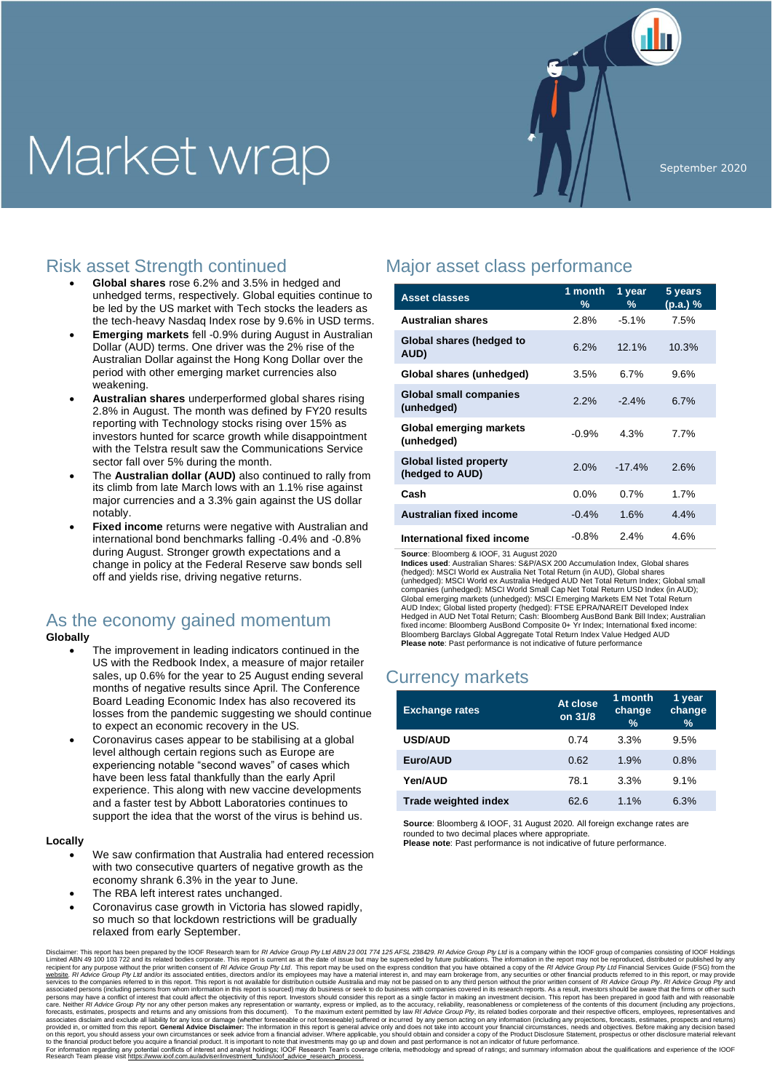# Market wrap



## Risk asset Strength continued

- **Global shares** rose 6.2% and 3.5% in hedged and unhedged terms, respectively. Global equities continue to be led by the US market with Tech stocks the leaders as the tech-heavy Nasdaq Index rose by 9.6% in USD terms.
- **Emerging markets** fell -0.9% during August in Australian Dollar (AUD) terms. One driver was the 2% rise of the Australian Dollar against the Hong Kong Dollar over the period with other emerging market currencies also weakening.
- **Australian shares** underperformed global shares rising 2.8% in August. The month was defined by FY20 results reporting with Technology stocks rising over 15% as investors hunted for scarce growth while disappointment with the Telstra result saw the Communications Service sector fall over 5% during the month.
- The **Australian dollar (AUD)** also continued to rally from its climb from late March lows with an 1.1% rise against major currencies and a 3.3% gain against the US dollar notably.
- **Fixed income** returns were negative with Australian and international bond benchmarks falling -0.4% and -0.8% during August. Stronger growth expectations and a change in policy at the Federal Reserve saw bonds sell off and yields rise, driving negative returns.

# As the economy gained momentum

#### **Globally**

- The improvement in leading indicators continued in the US with the Redbook Index, a measure of major retailer sales, up 0.6% for the year to 25 August ending several months of negative results since April. The Conference Board Leading Economic Index has also recovered its losses from the pandemic suggesting we should continue to expect an economic recovery in the US.
- Coronavirus cases appear to be stabilising at a global level although certain regions such as Europe are experiencing notable "second waves" of cases which have been less fatal thankfully than the early April experience. This along with new vaccine developments and a faster test by Abbott Laboratories continues to support the idea that the worst of the virus is behind us.

#### **Locally**

- We saw confirmation that Australia had entered recession with two consecutive quarters of negative growth as the economy shrank 6.3% in the year to June.
- The RBA left interest rates unchanged.
- Coronavirus case growth in Victoria has slowed rapidly, so much so that lockdown restrictions will be gradually relaxed from early September.

# Major asset class performance

| <b>Asset classes</b>                             | 1 month<br>% | 1 year<br>% | 5 years<br>(p.a.)% |
|--------------------------------------------------|--------------|-------------|--------------------|
| <b>Australian shares</b>                         | 2.8%         | $-5.1%$     | 7.5%               |
| Global shares (hedged to<br>AUD)                 | 6.2%         | 12.1%       | 10.3%              |
| Global shares (unhedged)                         | 3.5%         | 6.7%        | 9.6%               |
| <b>Global small companies</b><br>(unhedged)      | 2.2%         | $-2.4%$     | 6.7%               |
| Global emerging markets<br>(unhedged)            | $-0.9%$      | 4.3%        | 7.7%               |
| <b>Global listed property</b><br>(hedged to AUD) | 2.0%         | $-17.4%$    | 2.6%               |
| Cash                                             | $0.0\%$      | 0.7%        | 1.7%               |
| Australian fixed income                          | $-0.4%$      | 1.6%        | 4.4%               |
| International fixed income                       | $-0.8%$      | 2.4%        | 4.6%               |

**Source**: Bloomberg & IOOF, 31 August 2020

**Indices used**: Australian Shares: S&P/ASX 200 Accumulation Index, Global shares (hedged): MSCI World ex Australia Net Total Return (in AUD), Global shares (unhedged): MSCI World ex Australia Hedged AUD Net Total Return Index; Global small<br>companies (unhedged): MSCI World Small Cap Net Total Return USD Index (in AUD);<br>Global emerging markets (unhedged): MSCI Emerging Markets Hedged in AUD Net Total Return; Cash: Bloomberg AusBond Bank Bill Index; Australian fixed income: Bloomberg AusBond Composite 0+ Yr Index; International fixed income: Bloomberg Barclays Global Aggregate Total Return Index Value Hedged AUD **Please note**: Past performance is not indicative of future performance

## Currency markets

| <b>Exchange rates</b>       | At close<br>on 31/8 | 1 month<br>change<br>$\frac{0}{0}$ | 1 year<br>change<br>$\frac{9}{6}$ |
|-----------------------------|---------------------|------------------------------------|-----------------------------------|
| <b>USD/AUD</b>              | 0.74                | 3.3%                               | 9.5%                              |
| Euro/AUD                    | 0.62                | 1.9%                               | 0.8%                              |
| Yen/AUD                     | 78.1                | 3.3%                               | 9.1%                              |
| <b>Trade weighted index</b> | 62.6                | 1.1%                               | 6.3%                              |

**Source**: Bloomberg & IOOF, 31 August 2020. All foreign exchange rates are rounded to two decimal places where appropriate. **Please note**: Past performance is not indicative of future performance.

Disclaimer: This report has been prepared by the IOOF Research team for *RI Advice Group Py Ltd* Endot in a step per part 25 AFS. 23 and its related by the information in the 100 frequent in the IOOF Related by the INS and care. Neither *RI Advice Group Ply* nor any other person makes any representation or warranty, express or implied, as to the accuracy, reliability, reasonableness or completeness of the contents of this document (including